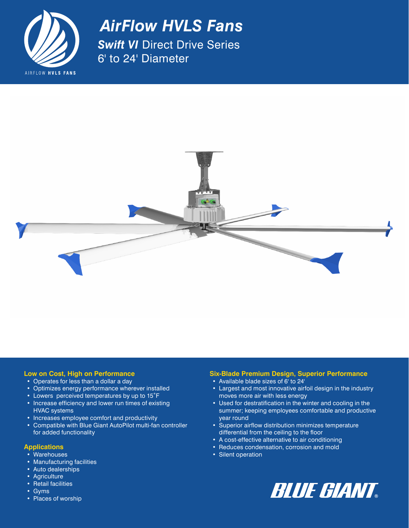

*AirFlow HVLS Fans Swift VI Direct Drive Series* 6' to 24' Diameter



# **Low on Cost, High on Performance**

- Operates for less than a dollar a day
- Optimizes energy performance wherever installed
- Lowers perceived temperatures by up to 15°F
- Increase efficiency and lower run times of existing HVAC systems
- Increases employee comfort and productivity
- Compatible with Blue Giant AutoPilot multi-fan controller for added functionality

#### **Applications**

- Warehouses
- Manufacturing facilities
- Auto dealerships
- Agriculture
- Retail facilities
- Gyms
- Places of worship

# **Six-Blade Premium Design, Superior Performance**

- Available blade sizes of 6' to 24'
- Largest and most innovative airfoil design in the industry moves more air with less energy
- Used for destratification in the winter and cooling in the summer; keeping employees comfortable and productive year round
- Superior airflow distribution minimizes temperature differential from the ceiling to the floor
- A cost-effective alternative to air conditioning
- Reduces condensation, corrosion and mold
- Silent operation